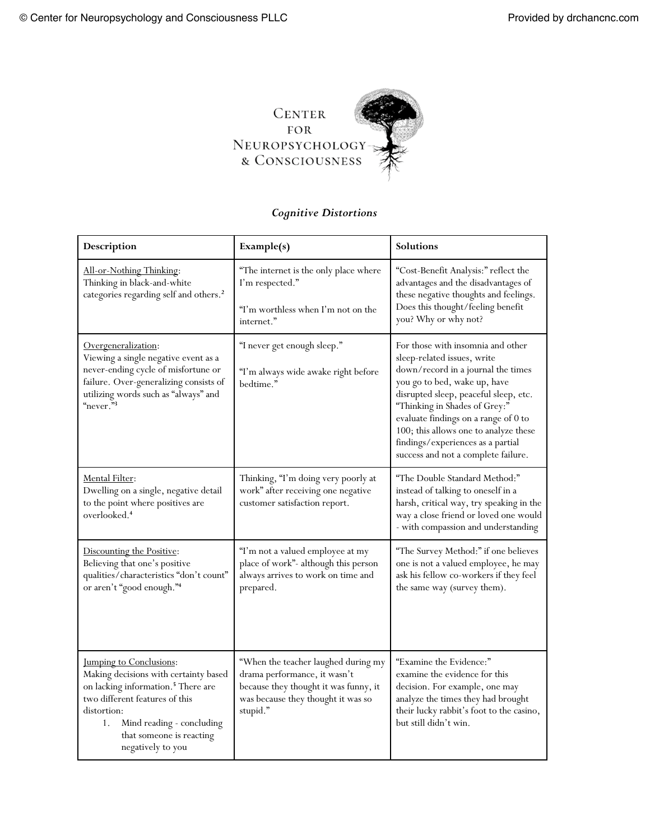

## *Cognitive Distortions*

| Description                                                                                                                                                                                                                                                    | Example(s)                                                                                                                                                     | Solutions                                                                                                                                                                                                                                                                                                                                                                     |
|----------------------------------------------------------------------------------------------------------------------------------------------------------------------------------------------------------------------------------------------------------------|----------------------------------------------------------------------------------------------------------------------------------------------------------------|-------------------------------------------------------------------------------------------------------------------------------------------------------------------------------------------------------------------------------------------------------------------------------------------------------------------------------------------------------------------------------|
| All-or-Nothing Thinking:<br>Thinking in black-and-white<br>categories regarding self and others. <sup>2</sup>                                                                                                                                                  | "The internet is the only place where<br>I'm respected."<br>"I'm worthless when I'm not on the<br>internet."                                                   | "Cost-Benefit Analysis:" reflect the<br>advantages and the disadvantages of<br>these negative thoughts and feelings.<br>Does this thought/feeling benefit<br>you? Why or why not?                                                                                                                                                                                             |
| Overgeneralization:<br>Viewing a single negative event as a<br>never-ending cycle of misfortune or<br>failure. Over-generalizing consists of<br>utilizing words such as "always" and<br>"never."3                                                              | "I never get enough sleep."<br>"I'm always wide awake right before<br>bedtime."                                                                                | For those with insomnia and other<br>sleep-related issues, write<br>down/record in a journal the times<br>you go to bed, wake up, have<br>disrupted sleep, peaceful sleep, etc.<br>"Thinking in Shades of Grey:"<br>evaluate findings on a range of 0 to<br>100; this allows one to analyze these<br>findings/experiences as a partial<br>success and not a complete failure. |
| Mental Filter:<br>Dwelling on a single, negative detail<br>to the point where positives are<br>overlooked. <sup>4</sup>                                                                                                                                        | Thinking, "I'm doing very poorly at<br>work" after receiving one negative<br>customer satisfaction report.                                                     | "The Double Standard Method:"<br>instead of talking to oneself in a<br>harsh, critical way, try speaking in the<br>way a close friend or loved one would<br>- with compassion and understanding                                                                                                                                                                               |
| Discounting the Positive:<br>Believing that one's positive<br>qualities/characteristics "don't count"<br>or aren't "good enough."4                                                                                                                             | "I'm not a valued employee at my<br>place of work"- although this person<br>always arrives to work on time and<br>prepared.                                    | "The Survey Method:" if one believes<br>one is not a valued employee, he may<br>ask his fellow co-workers if they feel<br>the same way (survey them).                                                                                                                                                                                                                         |
| <b>Jumping to Conclusions:</b><br>Making decisions with certainty based<br>on lacking information. <sup>5</sup> There are<br>two different features of this<br>distortion:<br>Mind reading - concluding<br>1.<br>that someone is reacting<br>negatively to you | "When the teacher laughed during my<br>drama performance, it wasn't<br>because they thought it was funny, it<br>was because they thought it was so<br>stupid." | "Examine the Evidence:"<br>examine the evidence for this<br>decision. For example, one may<br>analyze the times they had brought<br>their lucky rabbit's foot to the casino,<br>but still didn't win.                                                                                                                                                                         |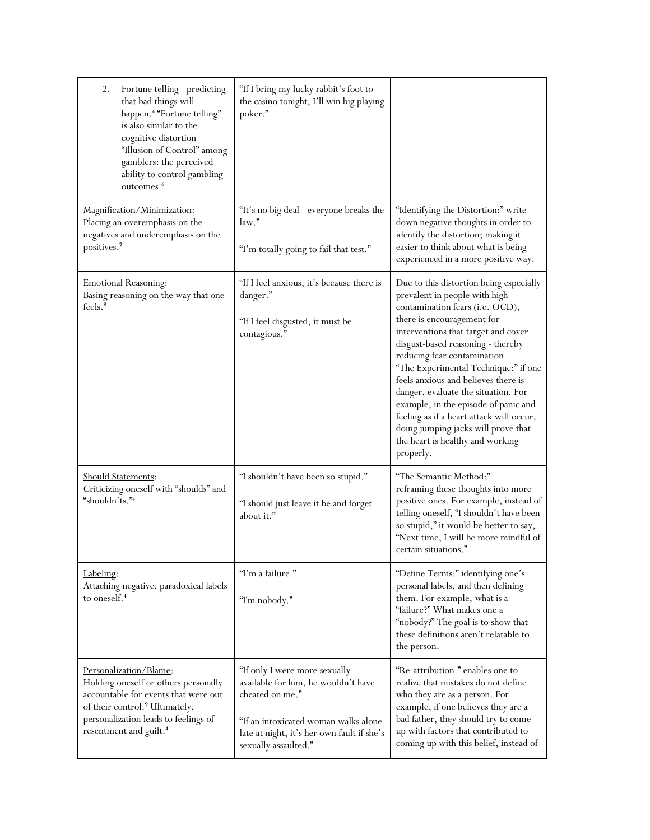| Fortune telling - predicting<br>2.<br>that bad things will<br>happen. <sup>4</sup> "Fortune telling"<br>is also similar to the<br>cognitive distortion<br>"Illusion of Control" among<br>gamblers: the perceived<br>ability to control gambling<br>outcomes. <sup>6</sup> | "If I bring my lucky rabbit's foot to<br>the casino tonight, I'll win big playing<br>poker."                                                                                                          |                                                                                                                                                                                                                                                                                                                                                                                                                                                                                                                                                         |
|---------------------------------------------------------------------------------------------------------------------------------------------------------------------------------------------------------------------------------------------------------------------------|-------------------------------------------------------------------------------------------------------------------------------------------------------------------------------------------------------|---------------------------------------------------------------------------------------------------------------------------------------------------------------------------------------------------------------------------------------------------------------------------------------------------------------------------------------------------------------------------------------------------------------------------------------------------------------------------------------------------------------------------------------------------------|
| Magnification/Minimization:<br>Placing an overemphasis on the<br>negatives and underemphasis on the<br>positives. <sup>7</sup>                                                                                                                                            | "It's no big deal - everyone breaks the<br>law."<br>"I'm totally going to fail that test."                                                                                                            | "Identifying the Distortion:" write<br>down negative thoughts in order to<br>identify the distortion; making it<br>easier to think about what is being<br>experienced in a more positive way.                                                                                                                                                                                                                                                                                                                                                           |
| <b>Emotional Reasoning:</b><br>Basing reasoning on the way that one<br>feels. <sup>8</sup>                                                                                                                                                                                | "If I feel anxious, it's because there is<br>danger."<br>"If I feel disgusted, it must be<br>contagious."                                                                                             | Due to this distortion being especially<br>prevalent in people with high<br>contamination fears (i.e. OCD),<br>there is encouragement for<br>interventions that target and cover<br>disgust-based reasoning - thereby<br>reducing fear contamination.<br>"The Experimental Technique:" if one<br>feels anxious and believes there is<br>danger, evaluate the situation. For<br>example, in the episode of panic and<br>feeling as if a heart attack will occur,<br>doing jumping jacks will prove that<br>the heart is healthy and working<br>properly. |
| Should Statements:<br>Criticizing oneself with "shoulds" and<br>"shouldn'ts."4                                                                                                                                                                                            | "I shouldn't have been so stupid."<br>"I should just leave it be and forget<br>about it."                                                                                                             | "The Semantic Method:"<br>reframing these thoughts into more<br>positive ones. For example, instead of<br>telling oneself, "I shouldn't have been<br>so stupid," it would be better to say,<br>"Next time, I will be more mindful of<br>certain situations."                                                                                                                                                                                                                                                                                            |
| Labeling:<br>Attaching negative, paradoxical labels<br>to oneself. <sup>4</sup>                                                                                                                                                                                           | "I'm a failure."<br>"I'm nobody."                                                                                                                                                                     | "Define Terms:" identifying one's<br>personal labels, and then defining<br>them. For example, what is a<br>"failure?" What makes one a<br>"nobody?" The goal is to show that<br>these definitions aren't relatable to<br>the person.                                                                                                                                                                                                                                                                                                                    |
| Personalization/Blame:<br>Holding oneself or others personally<br>accountable for events that were out<br>of their control. <sup>9</sup> Ultimately,<br>personalization leads to feelings of<br>resentment and guilt. <sup>4</sup>                                        | "If only I were more sexually<br>available for him, he wouldn't have<br>cheated on me."<br>"If an intoxicated woman walks alone<br>late at night, it's her own fault if she's<br>sexually assaulted." | "Re-attribution:" enables one to<br>realize that mistakes do not define<br>who they are as a person. For<br>example, if one believes they are a<br>bad father, they should try to come<br>up with factors that contributed to<br>coming up with this belief, instead of                                                                                                                                                                                                                                                                                 |